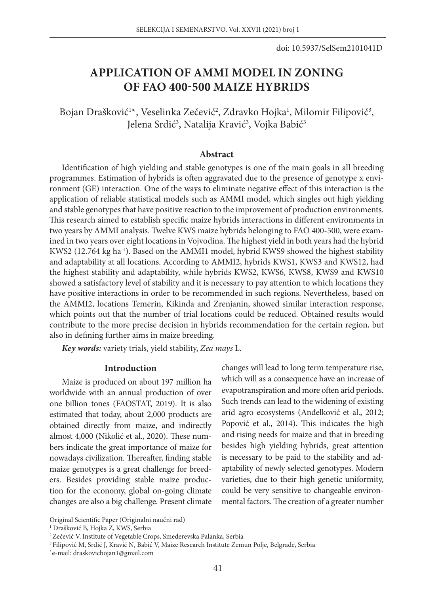# **APPLICATION OF AMMI MODEL IN ZONING OF FAO 400-500 MAIZE HYBRIDS**

Bojan Drašković<sup>1</sup>\*, Veselinka Zečević<sup>2</sup>, Zdravko Hojka<sup>1</sup>, Milomir Filipović<sup>3</sup>, Jelena Srdić<sup>3</sup>, Natalija Kravić<sup>3</sup>, Vojka Babić<sup>3</sup>

#### **Abstract**

Identification of high yielding and stable genotypes is one of the main goals in all breeding programmes. Estimation of hybrids is often aggravated due to the presence of genotype x environment (GE) interaction. One of the ways to eliminate negative effect of this interaction is the application of reliable statistical models such as AMMI model, which singles out high yielding and stable genotypes that have positive reaction to the improvement of production environments. This research aimed to establish specific maize hybrids interactions in different environments in two years by AMMI analysis. Twelve KWS maize hybrids belonging to FAO 400-500, were examined in two years over eight locations in Vojvodina. The highest yield in both years had the hybrid KWS2 (12.764 kg ha-1). Based on the AMMI1 model, hybrid KWS9 showed the highest stability and adaptability at all locations. According to AMMI2, hybrids KWS1, KWS3 and KWS12, had the highest stability and adaptability, while hybrids KWS2, KWS6, KWS8, KWS9 and KWS10 showed a satisfactory level of stability and it is necessary to pay attention to which locations they have positive interactions in order to be recommended in such regions. Nevertheless, based on the AMMI2, locations Temerin, Kikinda and Zrenjanin, showed similar interaction response, which points out that the number of trial locations could be reduced. Obtained results would contribute to the more precise decision in hybrids recommendation for the certain region, but also in defining further aims in maize breeding.

*Key words:* variety trials, yield stability, *Zea mays* L.

#### **Introduction**

Maize is produced on about 197 million ha worldwide with an annual production of over one billion tones (FAOSTAT, 2019). It is also estimated that today, about 2,000 products are obtained directly from maize, and indirectly almost 4,000 (Nikolić et al., 2020). These numbers indicate the great importance of maize for nowadays civilization. Thereafter, finding stable maize genotypes is a great challenge for breeders. Besides providing stable maize production for the economy, global on-going climate changes are also a big challenge. Present climate changes will lead to long term temperature rise, which will as a consequence have an increase of evapotranspiration and more often arid periods. Such trends can lead to the widening of existing arid agro ecosystems (Anđelković et al., 2012; Popović et al., 2014). This indicates the high and rising needs for maize and that in breeding besides high yielding hybrids, great attention is necessary to be paid to the stability and adaptability of newly selected genotypes. Modern varieties, due to their high genetic uniformity, could be very sensitive to changeable environmental factors. The creation of a greater number

Original Scientific Paper (Originalni naučni rad)

<sup>1</sup> Drašković B, Hojka Z, KWS, Serbia

<sup>2</sup> Zečević V, Institute of Vegetable Crops, Smederevska Palanka, Serbia

<sup>&</sup>lt;sup>3</sup> Filipović M, Srdić J, Kravić N, Babić V, Maize Research Institute Zemun Polje, Belgrade, Serbia

<sup>\*</sup> e-mail: draskovicbojan1@gmail.com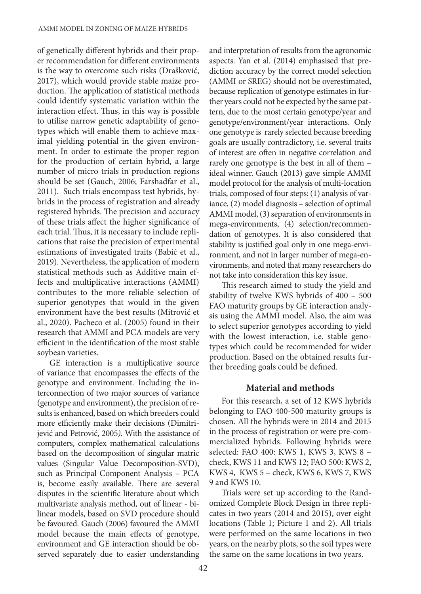of genetically different hybrids and their proper recommendation for different environments is the way to overcome such risks (Drašković, 2017), which would provide stable maize production. The application of statistical methods could identify systematic variation within the interaction effect. Thus, in this way is possible to utilise narrow genetic adaptability of genotypes which will enable them to achieve maximal yielding potential in the given environment. In order to estimate the proper region for the production of certain hybrid, a large number of micro trials in production regions should be set (Gauch, 2006; Farshadfar et al., 2011). Such trials encompass test hybrids, hybrids in the process of registration and already registered hybrids. The precision and accuracy of these trials affect the higher significance of each trial. Thus, it is necessary to include replications that raise the precision of experimental estimations of investigated traits (Babić et al., 2019). Nevertheless, the application of modern statistical methods such as Additive main effects and multiplicative interactions (AMMI) contributes to the more reliable selection of superior genotypes that would in the given environment have the best results (Mitrović et al., 2020). Pacheco et al. (2005) found in their research that AMMI and PCA models are very efficient in the identification of the most stable soybean varieties.

GE interaction is a multiplicative source of variance that encompasses the effects of the genotype and environment. Including the interconnection of two major sources of variance (genotype and environment), the precision of results is enhanced, based on which breeders could more efficiently make their decisions (Dimitrijević and Petrović, 2005*)*. With the assistance of computers, complex mathematical calculations based on the decomposition of singular matric values (Singular Value Decomposition-SVD), such as Principal Component Analysis – PCA is, become easily available. There are several disputes in the scientific literature about which multivariate analysis method, out of linear - bilinear models, based on SVD procedure should be favoured. Gauch (2006) favoured the AMMI model because the main effects of genotype, environment and GE interaction should be observed separately due to easier understanding

and interpretation of results from the agronomic aspects. Yan et al. (2014) emphasised that prediction accuracy by the correct model selection (AMMI or SREG) should not be overestimated, because replication of genotype estimates in further years could not be expected by the same pattern, due to the most certain genotype/year and genotype/environment/year interactions. Only one genotype is rarely selected because breeding goals are usually contradictory, i.e. several traits of interest are often in negative correlation and rarely one genotype is the best in all of them – ideal winner. Gauch (2013) gave simple AMMI model protocol for the analysis of multi-location trials, composed of four steps: (1) analysis of variance, (2) model diagnosis – selection of optimal AMMI model, (3) separation of environments in mega-environments, (4) selection/recommendation of genotypes. It is also considered that stability is justified goal only in one mega-environment, and not in larger number of mega-environments, and noted that many researchers do not take into consideration this key issue.

This research aimed to study the yield and stability of twelve KWS hybrids of 400 – 500 FAO maturity groups by GE interaction analysis using the AMMI model. Also, the aim was to select superior genotypes according to yield with the lowest interaction, i.e. stable genotypes which could be recommended for wider production. Based on the obtained results further breeding goals could be defined.

### **Material and methods**

For this research, a set of 12 KWS hybrids belonging to FAO 400-500 maturity groups is chosen. All the hybrids were in 2014 and 2015 in the process of registration or were pre-commercialized hybrids. Following hybrids were selected: FAO 400: KWS 1, KWS 3, KWS 8 – check, KWS 11 and KWS 12; FAO 500: KWS 2, KWS 4, KWS 5 – check, KWS 6, KWS 7, KWS 9 and KWS 10.

Trials were set up according to the Randomized Complete Block Design in three replicates in two years (2014 and 2015), over eight locations (Table 1; Picture 1 and 2). All trials were performed on the same locations in two years, on the nearby plots, so the soil types were the same on the same locations in two years.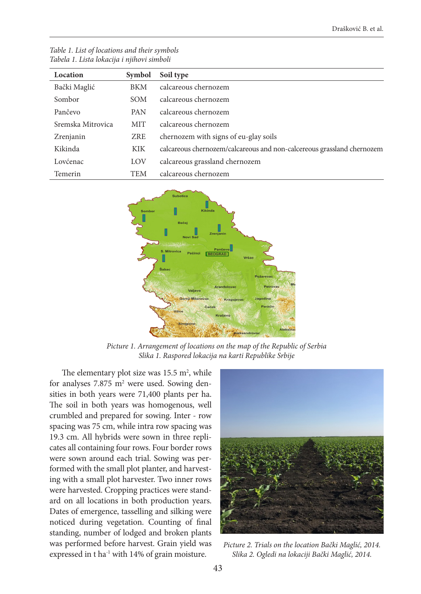| Location          | Symbol     | Soil type                                                              |
|-------------------|------------|------------------------------------------------------------------------|
| Bački Maglić      | <b>BKM</b> | calcareous chernozem                                                   |
| Sombor            | <b>SOM</b> | calcareous chernozem                                                   |
| Pančevo           | <b>PAN</b> | calcareous chernozem                                                   |
| Sremska Mitrovica | <b>MIT</b> | calcareous chernozem                                                   |
| Zrenjanin         | ZRE        | chernozem with signs of eu-glay soils                                  |
| Kikinda           | <b>KIK</b> | calcareous chernozem/calcareous and non-calcereous grassland chernozem |
| Lovćenac          | LOV        | calcareous grassland chernozem                                         |
| Temerin           | TEM        | calcareous chernozem                                                   |

*Table 1. List of locations and their symbols Tabela 1. Lista lokacija i njihovi simboli*



*Picture 1. Arrangement of locations on the map of the Republic of Serbia Slika 1. Raspored lokacija na karti Republike Srbije*

The elementary plot size was  $15.5 \text{ m}^2$ , while for analyses  $7.875 \text{ m}^2$  were used. Sowing densities in both years were 71,400 plants per ha. The soil in both years was homogenous, well crumbled and prepared for sowing. Inter - row spacing was 75 cm, while intra row spacing was 19.3 cm. All hybrids were sown in three replicates all containing four rows. Four border rows were sown around each trial. Sowing was performed with the small plot planter, and harvesting with a small plot harvester. Two inner rows were harvested. Cropping practices were standard on all locations in both production years. Dates of emergence, tasselling and silking were noticed during vegetation. Counting of final standing, number of lodged and broken plants was performed before harvest. Grain yield was expressed in t ha $^{-1}$  with 14% of grain moisture.



*Picture 2. Trials on the location Bački Maglić, 2014. Slika 2. Ogledi na lokaciji Bački Maglić, 2014.*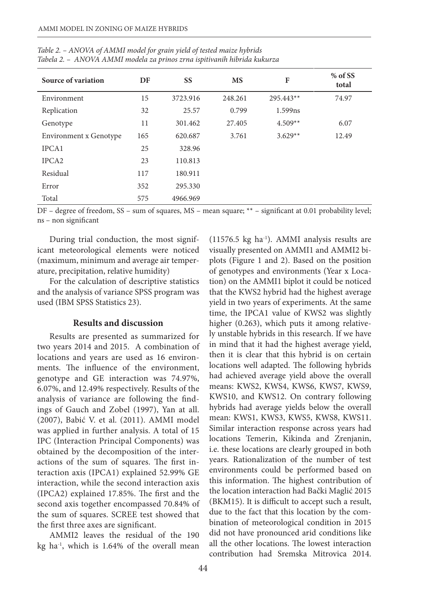| Source of variation    | DF  | <b>SS</b> | <b>MS</b> | F         | % of SS<br>total |
|------------------------|-----|-----------|-----------|-----------|------------------|
| Environment            | 15  | 3723.916  | 248.261   | 295.443** | 74.97            |
| Replication            | 32  | 25.57     | 0.799     | 1.599ns   |                  |
| Genotype               | 11  | 301.462   | 27.405    | $4.509**$ | 6.07             |
| Environment x Genotype | 165 | 620.687   | 3.761     | $3.629**$ | 12.49            |
| IPCA1                  | 25  | 328.96    |           |           |                  |
| IPCA <sub>2</sub>      | 23  | 110.813   |           |           |                  |
| Residual               | 117 | 180.911   |           |           |                  |
| Error                  | 352 | 295.330   |           |           |                  |
| Total                  | 575 | 4966.969  |           |           |                  |

*Table 2. – ANOVA of AMMI model for grain yield of tested maize hybrids Tabela 2. – ANOVA AMMI modela za prinos zrna ispitivanih hibrida kukurza*

DF – degree of freedom, SS – sum of squares, MS – mean square; \*\* – significant at 0.01 probability level; ns – non significant

During trial conduction, the most significant meteorological elements were noticed (maximum, minimum and average air temperature, precipitation, relative humidity)

For the calculation of descriptive statistics and the analysis of variance SPSS program was used (IBM SPSS Statistics 23).

#### **Results and discussion**

Results are presented as summarized for two years 2014 and 2015. A combination of locations and years are used as 16 environments. The influence of the environment, genotype and GE interaction was 74.97%, 6.07%, and 12.49% respectively. Results of the analysis of variance are following the findings of Gauch and Zobel (1997), Yan at all. (2007), Babić V. et al. (2011). AMMI model was applied in further analysis. A total of 15 IPC (Interaction Principal Components) was obtained by the decomposition of the interactions of the sum of squares. The first interaction axis (IPCA1) explained 52.99% GE interaction, while the second interaction axis (IPCA2) explained 17.85%. The first and the second axis together encompassed 70.84% of the sum of squares. SCREE test showed that the first three axes are significant.

AMMI2 leaves the residual of the 190 kg ha<sup>-1</sup>, which is  $1.64\%$  of the overall mean (11576.5 kg ha $^{-1}$ ). AMMI analysis results are visually presented on AMMI1 and AMMI2 biplots (Figure 1 and 2). Based on the position of genotypes and environments (Year x Location) on the AMMI1 biplot it could be noticed that the KWS2 hybrid had the highest average yield in two years of experiments. At the same time, the IPCA1 value of KWS2 was slightly higher (0.263), which puts it among relatively unstable hybrids in this research. If we have in mind that it had the highest average yield, then it is clear that this hybrid is on certain locations well adapted. The following hybrids had achieved average yield above the overall means: KWS2, KWS4, KWS6, KWS7, KWS9, KWS10, and KWS12. On contrary following hybrids had average yields below the overall mean: KWS1, KWS3, KWS5, KWS8, KWS11. Similar interaction response across years had locations Temerin, Kikinda and Zrenjanin, i.e. these locations are clearly grouped in both years. Rationalization of the number of test environments could be performed based on this information. The highest contribution of the location interaction had Bački Maglić 2015 (BKM15). It is difficult to accept such a result, due to the fact that this location by the combination of meteorological condition in 2015 did not have pronounced arid conditions like all the other locations. The lowest interaction contribution had Sremska Mitrovica 2014.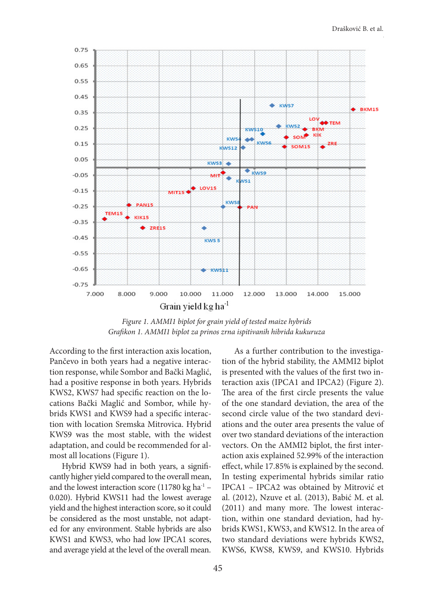

*Figure 1. AMMI1 biplot for grain yield of tested maize hybrids Grafikon 1. AMMI1 biplot za prinos zrna ispitivanih hibrida kukuruza*

According to the first interaction axis location, Pančevo in both years had a negative interaction response, while Sombor and Bački Maglić, had a positive response in both years. Hybrids KWS2, KWS7 had specific reaction on the locations Bački Maglić and Sombor, while hybrids KWS1 and KWS9 had a specific interaction with location Sremska Mitrovica. Hybrid KWS9 was the most stable, with the widest adaptation, and could be recommended for almost all locations (Figure 1).

Hybrid KWS9 had in both years, a significantly higher yield compared to the overall mean, and the lowest interaction score  $(11780 \text{ kg ha}^{-1} -$ 0.020). Hybrid KWS11 had the lowest average yield and the highest interaction score, so it could be considered as the most unstable, not adapted for any environment. Stable hybrids are also KWS1 and KWS3, who had low IPCA1 scores, and average yield at the level of the overall mean.

As a further contribution to the investigation of the hybrid stability, the AMMI2 biplot is presented with the values of the first two interaction axis (IPCA1 and IPCA2) (Figure 2). The area of the first circle presents the value of the one standard deviation, the area of the second circle value of the two standard deviations and the outer area presents the value of over two standard deviations of the interaction vectors. On the AMMI2 biplot, the first interaction axis explained 52.99% of the interaction effect, while 17.85% is explained by the second. In testing experimental hybrids similar ratio IPCA1 – IPCA2 was obtained by Mitrović et al. (2012), Nzuve et al. (2013), Babić M. et al. (2011) and many more. The lowest interaction, within one standard deviation, had hybrids KWS1, KWS3, and KWS12. In the area of two standard deviations were hybrids KWS2, KWS6, KWS8, KWS9, and KWS10. Hybrids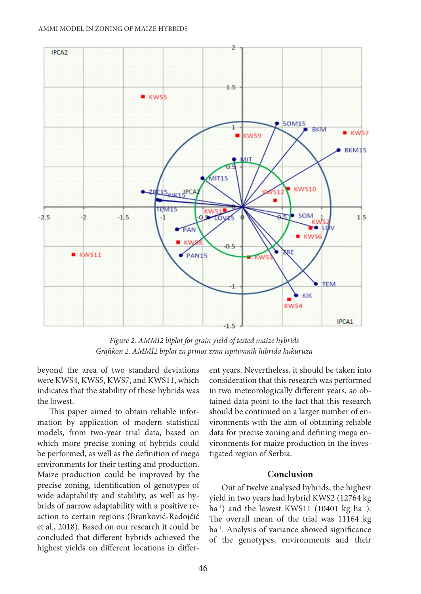

*Figure 2. AMMI2 biplot for grain yield of tested maize hybrids Grafikon 2. AMMI2 biplot za prinos zrna ispitivanih hibrida kukuruza*

beyond the area of two standard deviations were KWS4, KWS5, KWS7, and KWS11, which indicates that the stability of these hybrids was the lowest.

This paper aimed to obtain reliable information by application of modern statistical models, from two-year trial data, based on which more precise zoning of hybrids could be performed, as well as the definition of mega environments for their testing and production. Maize production could be improved by the precise zoning, identification of genotypes of wide adaptability and stability, as well as hybrids of narrow adaptability with a positive reaction to certain regions (Branković-Radojčić et al., 2018). Based on our research it could be concluded that different hybrids achieved the highest yields on different locations in different years. Nevertheless, it should be taken into consideration that this research was performed in two meteorologically different years, so obtained data point to the fact that this research should be continued on a larger number of environments with the aim of obtaining reliable data for precise zoning and defining mega environments for maize production in the investigated region of Serbia.

#### **Conclusion**

Out of twelve analysed hybrids, the highest yield in two years had hybrid KWS2 (12764 kg ha<sup>-1</sup>) and the lowest KWS11 (10401 kg ha<sup>-1</sup>). The overall mean of the trial was 11164 kg ha-1. Analysis of variance showed significance of the genotypes, environments and their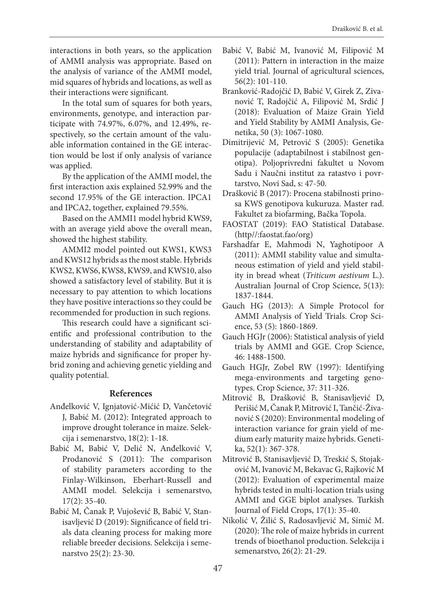interactions in both years, so the application of AMMI analysis was appropriate. Based on the analysis of variance of the AMMI model, mid squares of hybrids and locations, as well as their interactions were significant.

In the total sum of squares for both years, environments, genotype, and interaction participate with 74.97%, 6.07%, and 12.49%, respectively, so the certain amount of the valuable information contained in the GE interaction would be lost if only analysis of variance was applied.

By the application of the AMMI model, the first interaction axis explained 52.99% and the second 17.95% of the GE interaction. IPCA1 and IPCA2, together, explained 79.55%.

Based on the AMMI1 model hybrid KWS9, with an average yield above the overall mean, showed the highest stability.

AMMI2 model pointed out KWS1, KWS3 and KWS12 hybrids as the most stable. Hybrids KWS2, KWS6, KWS8, KWS9, and KWS10, also showed a satisfactory level of stability. But it is necessary to pay attention to which locations they have positive interactions so they could be recommended for production in such regions.

This research could have a significant scientific and professional contribution to the understanding of stability and adaptability of maize hybrids and significance for proper hybrid zoning and achieving genetic yielding and quality potential.

### **References**

- Anđelković V, Ignjatović-Mićić D, Vančetović J, Babić M. (2012): Integrated approach to improve drought tolerance in maize. Selekcija i semenarstvo, 18(2): 1-18.
- Babić M, Babić V, Delić N, Anđelković V, Prodanović S (2011): The comparison of stability parameters according to the Finlay-Wilkinson, Eberhart-Russell and AMMI model. Selekcija i semenarstvo, 17(2): 35-40.
- Babić M, Čanak P, Vujošević B, Babić V, Stanisavljević D (2019): Significance of field trials data cleaning process for making more reliable breeder decisions. Selekcija i semenarstvo 25(2): 23-30.
- Babić V, Babić M, Ivanović M, Filipović M (2011): Pattern in interaction in the maize yield trial. Journal of agricultural sciences, 56(2): 101-110.
- Branković-Radojčić D, Babić V, Girek Z, Zivanović T, Radojčić A, Filipović M, Srdić J (2018): Evaluation of Maize Grain Yield and Yield Stability by AMMI Analysis, Genetika, 50 (3): 1067-1080.
- Dimitrijević M, Petrović S (2005): Genetika populacije (adaptabilnost i stabilnost genotipa). Poljoprivredni fakultet u Novom Sadu i Naučni institut za ratastvo i povrtarstvo, Novi Sad, s: 47-50.
- Drašković B (2017): Procena stabilnosti prinosa KWS genotipova kukuruza. Master rad. Fakultet za biofarming, Bačka Topola.
- FAOSTAT (2019): FAO Statistical Database. (http//:faostat.fao/org)
- Farshadfar E, Mahmodi N, Yaghotipoor A (2011): AMMI stability value and simultaneous estimation of yield and yield stability in bread wheat (*Triticum aestivum* L.). Australian Journal of Crop Science, 5(13): 1837-1844.
- Gauch HG (2013): A Simple Protocol for AMMI Analysis of Yield Trials. Crop Science, 53 (5): 1860-1869.
- Gauch HGJr (2006): Statistical analysis of yield trials by AMMI and GGE. Crop Science, 46: 1488-1500.
- Gauch HGJr, Zobel RW (1997): Identifying mega-environments and targeting genotypes. Crop Science, 37: 311-326.
- Mitrović B, Drašković B, Stanisavljević D, Perišić M, Čanak P, Mitrović I, Tančić-Živanović S (2020): Environmental modeling of interaction variance for grain yield of medium early maturity maize hybrids. Genetika, 52(1): 367-378.
- Mitrović B, Stanisavljević D, Treskić S, Stojaković M, Ivanović M, Bekavac G, Rajković M (2012): Evaluation of experimental maize hybrids tested in multi-location trials using AMMI and GGE biplot analyses. Turkish Journal of Field Crops, 17(1): 35-40.
- Nikolić V, Žilić S, Radosavljević M, Simić M. (2020): The role of maize hybrids in current trends of bioethanol production. Selekcija i semenarstvo, 26(2): 21-29.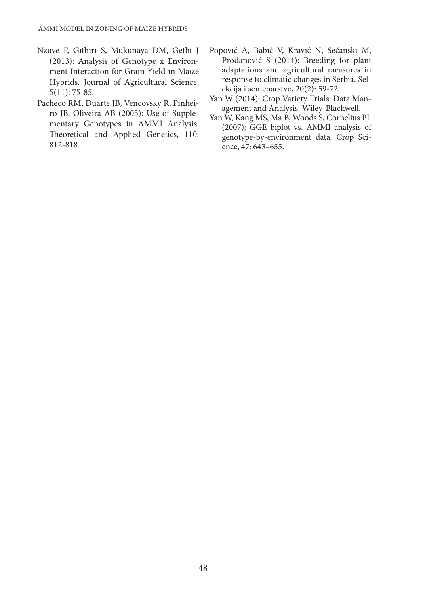- Nzuve F, Githiri S, Mukunaya DM, Gethi J (2013): Analysis of Genotype x Environment Interaction for Grain Yield in Maize Hybrids. Journal of Agricultural Science, 5(11): 75-85.
- Pacheco RM, Duarte JB, Vencovsky R, Pinheiro JB, Oliveira AB (2005): Use of Supplementary Genotypes in AMMI Analysis. Theoretical and Applied Genetics, 110: 812-818.
- Popović A, Babić V, Kravić N, Sečanski M, Prodanović S (2014): Breeding for plant adaptations and agricultural measures in response to climatic changes in Serbia. Selekcija i semenarstvo, 20(2): 59-72.
- Yan W (2014): Crop Variety Trials: Data Management and Analysis. Wiley-Blackwell.
- Yan W, Kang MS, Ma B, Woods S, Cornelius PL (2007): GGE biplot vs. AMMI analysis of genotype-by-environment data. Crop Science, 47: 643–655.